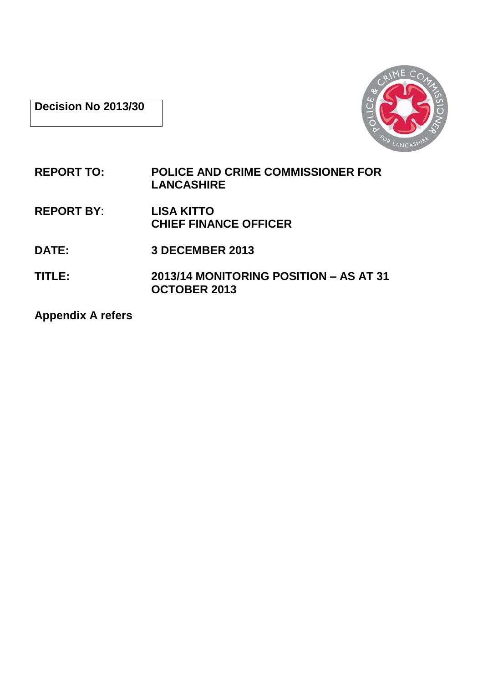**Decision No 2013/30**



- **REPORT TO: POLICE AND CRIME COMMISSIONER FOR LANCASHIRE**
- **REPORT BY**: **LISA KITTO CHIEF FINANCE OFFICER**
- **DATE: 3 DECEMBER 2013**
- **TITLE: 2013/14 MONITORING POSITION – AS AT 31 OCTOBER 2013**

**Appendix A refers**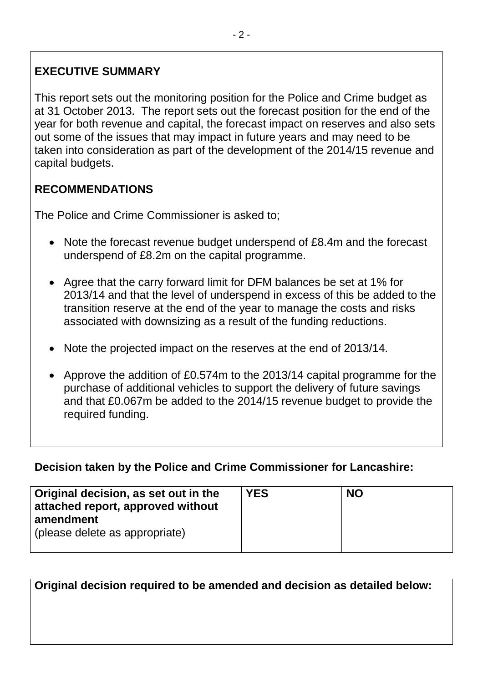# **EXECUTIVE SUMMARY**

This report sets out the monitoring position for the Police and Crime budget as at 31 October 2013. The report sets out the forecast position for the end of the year for both revenue and capital, the forecast impact on reserves and also sets out some of the issues that may impact in future years and may need to be taken into consideration as part of the development of the 2014/15 revenue and capital budgets.

# **RECOMMENDATIONS**

The Police and Crime Commissioner is asked to;

- Note the forecast revenue budget underspend of £8.4m and the forecast underspend of £8.2m on the capital programme.
- Agree that the carry forward limit for DFM balances be set at 1% for 2013/14 and that the level of underspend in excess of this be added to the transition reserve at the end of the year to manage the costs and risks associated with downsizing as a result of the funding reductions.
- Note the projected impact on the reserves at the end of 2013/14.
- Approve the addition of £0.574m to the 2013/14 capital programme for the purchase of additional vehicles to support the delivery of future savings and that £0.067m be added to the 2014/15 revenue budget to provide the required funding.

## **Decision taken by the Police and Crime Commissioner for Lancashire:**

| Original decision, as set out in the<br>attached report, approved without<br>amendment<br>(please delete as appropriate) | <b>YES</b> | <b>NO</b> |
|--------------------------------------------------------------------------------------------------------------------------|------------|-----------|
|--------------------------------------------------------------------------------------------------------------------------|------------|-----------|

| Original decision required to be amended and decision as detailed below: |
|--------------------------------------------------------------------------|
|                                                                          |
|                                                                          |
|                                                                          |
|                                                                          |
|                                                                          |
|                                                                          |
|                                                                          |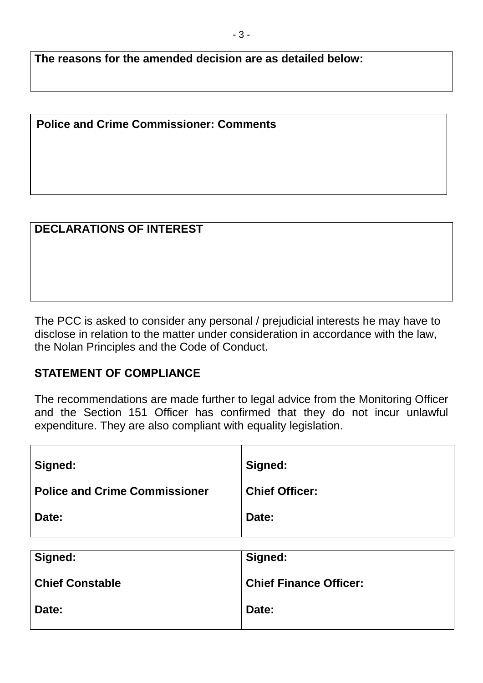**The reasons for the amended decision are as detailed below:**

### **Police and Crime Commissioner: Comments**

# **DECLARATIONS OF INTEREST**

The PCC is asked to consider any personal / prejudicial interests he may have to disclose in relation to the matter under consideration in accordance with the law, the Nolan Principles and the Code of Conduct.

#### **STATEMENT OF COMPLIANCE**

The recommendations are made further to legal advice from the Monitoring Officer and the Section 151 Officer has confirmed that they do not incur unlawful expenditure. They are also compliant with equality legislation.

| Signed:                              | Signed:               |
|--------------------------------------|-----------------------|
| <b>Police and Crime Commissioner</b> | <b>Chief Officer:</b> |
| Date:                                | Date:                 |

| Signed:                | Signed:                       |
|------------------------|-------------------------------|
| <b>Chief Constable</b> | <b>Chief Finance Officer:</b> |
| Date:                  | Date:                         |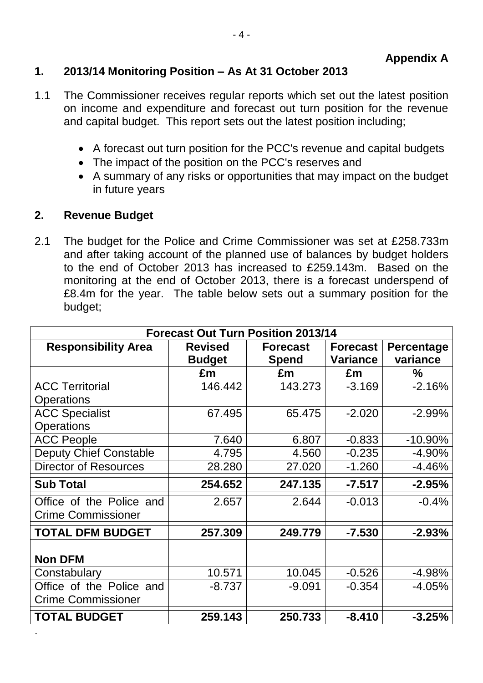## **1. 2013/14 Monitoring Position – As At 31 October 2013**

- 1.1 The Commissioner receives regular reports which set out the latest position on income and expenditure and forecast out turn position for the revenue and capital budget. This report sets out the latest position including;
	- A forecast out turn position for the PCC's revenue and capital budgets
	- The impact of the position on the PCC's reserves and
	- A summary of any risks or opportunities that may impact on the budget in future years

#### **2. Revenue Budget**

2.1 The budget for the Police and Crime Commissioner was set at £258.733m and after taking account of the planned use of balances by budget holders to the end of October 2013 has increased to £259.143m. Based on the monitoring at the end of October 2013, there is a forecast underspend of £8.4m for the year. The table below sets out a summary position for the budget;

| <b>Forecast Out Turn Position 2013/14</b>             |                                                                    |          |                                    |                               |
|-------------------------------------------------------|--------------------------------------------------------------------|----------|------------------------------------|-------------------------------|
| <b>Responsibility Area</b>                            | <b>Revised</b><br><b>Forecast</b><br><b>Budget</b><br><b>Spend</b> |          | <b>Forecast</b><br><b>Variance</b> | <b>Percentage</b><br>variance |
|                                                       | £m                                                                 | £m       | £m                                 | $\%$                          |
| <b>ACC Territorial</b><br><b>Operations</b>           | 146.442                                                            | 143.273  | $-3.169$                           | $-2.16%$                      |
| <b>ACC Specialist</b><br><b>Operations</b>            | 67.495                                                             | 65.475   | $-2.020$                           | $-2.99%$                      |
| <b>ACC People</b>                                     | 7.640                                                              | 6.807    | $-0.833$                           | $-10.90\%$                    |
| <b>Deputy Chief Constable</b>                         | 4.795                                                              | 4.560    | $-0.235$                           | $-4.90%$                      |
| <b>Director of Resources</b>                          | 28.280                                                             | 27.020   | $-1.260$                           | $-4.46%$                      |
| <b>Sub Total</b>                                      | 254.652                                                            | 247.135  | $-7.517$                           | $-2.95%$                      |
| Office of the Police and<br><b>Crime Commissioner</b> | 2.657                                                              | 2.644    | $-0.013$                           | $-0.4%$                       |
| <b>TOTAL DFM BUDGET</b>                               | 257.309                                                            | 249.779  | $-7.530$                           | $-2.93%$                      |
| <b>Non DFM</b>                                        |                                                                    |          |                                    |                               |
| Constabulary                                          | 10.571                                                             | 10.045   | $-0.526$                           | $-4.98%$                      |
| Office of the Police and<br><b>Crime Commissioner</b> | $-8.737$                                                           | $-9.091$ | $-0.354$                           | $-4.05%$                      |
| <b>TOTAL BUDGET</b>                                   | 259.143                                                            | 250.733  | $-8.410$                           | $-3.25%$                      |
|                                                       |                                                                    |          |                                    |                               |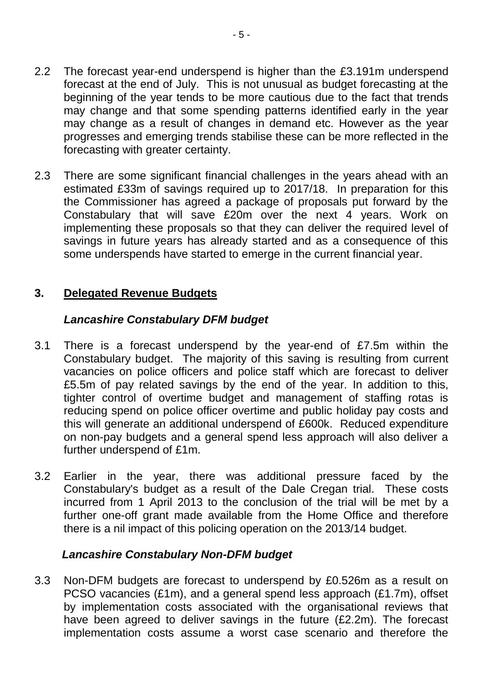- 2.2 The forecast year-end underspend is higher than the £3.191m underspend forecast at the end of July. This is not unusual as budget forecasting at the beginning of the year tends to be more cautious due to the fact that trends may change and that some spending patterns identified early in the year may change as a result of changes in demand etc. However as the year progresses and emerging trends stabilise these can be more reflected in the forecasting with greater certainty.
- 2.3 There are some significant financial challenges in the years ahead with an estimated £33m of savings required up to 2017/18. In preparation for this the Commissioner has agreed a package of proposals put forward by the Constabulary that will save £20m over the next 4 years. Work on implementing these proposals so that they can deliver the required level of savings in future years has already started and as a consequence of this some underspends have started to emerge in the current financial year.

### **3. Delegated Revenue Budgets**

### *Lancashire Constabulary DFM budget*

- 3.1 There is a forecast underspend by the year-end of £7.5m within the Constabulary budget. The majority of this saving is resulting from current vacancies on police officers and police staff which are forecast to deliver £5.5m of pay related savings by the end of the year. In addition to this, tighter control of overtime budget and management of staffing rotas is reducing spend on police officer overtime and public holiday pay costs and this will generate an additional underspend of £600k. Reduced expenditure on non-pay budgets and a general spend less approach will also deliver a further underspend of £1m.
- 3.2 Earlier in the year, there was additional pressure faced by the Constabulary's budget as a result of the Dale Cregan trial. These costs incurred from 1 April 2013 to the conclusion of the trial will be met by a further one-off grant made available from the Home Office and therefore there is a nil impact of this policing operation on the 2013/14 budget.

#### *Lancashire Constabulary Non-DFM budget*

3.3 Non-DFM budgets are forecast to underspend by £0.526m as a result on PCSO vacancies (£1m), and a general spend less approach (£1.7m), offset by implementation costs associated with the organisational reviews that have been agreed to deliver savings in the future (£2.2m). The forecast implementation costs assume a worst case scenario and therefore the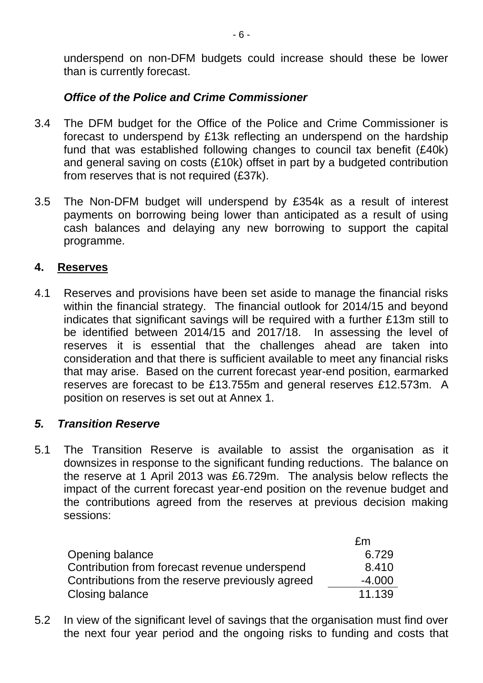underspend on non-DFM budgets could increase should these be lower than is currently forecast.

#### *Office of the Police and Crime Commissioner*

- 3.4 The DFM budget for the Office of the Police and Crime Commissioner is forecast to underspend by £13k reflecting an underspend on the hardship fund that was established following changes to council tax benefit (£40k) and general saving on costs (£10k) offset in part by a budgeted contribution from reserves that is not required (£37k).
- 3.5 The Non-DFM budget will underspend by £354k as a result of interest payments on borrowing being lower than anticipated as a result of using cash balances and delaying any new borrowing to support the capital programme.

#### **4. Reserves**

4.1 Reserves and provisions have been set aside to manage the financial risks within the financial strategy. The financial outlook for 2014/15 and beyond indicates that significant savings will be required with a further £13m still to be identified between 2014/15 and 2017/18. In assessing the level of reserves it is essential that the challenges ahead are taken into consideration and that there is sufficient available to meet any financial risks that may arise. Based on the current forecast year-end position, earmarked reserves are forecast to be £13.755m and general reserves £12.573m. A position on reserves is set out at Annex 1.

#### *5. Transition Reserve*

5.1 The Transition Reserve is available to assist the organisation as it downsizes in response to the significant funding reductions. The balance on the reserve at 1 April 2013 was £6.729m. The analysis below reflects the impact of the current forecast year-end position on the revenue budget and the contributions agreed from the reserves at previous decision making sessions:

|                                                  | £m       |
|--------------------------------------------------|----------|
| Opening balance                                  | 6.729    |
| Contribution from forecast revenue underspend    | 8.410    |
| Contributions from the reserve previously agreed | $-4.000$ |
| Closing balance                                  | 11.139   |

5.2 In view of the significant level of savings that the organisation must find over the next four year period and the ongoing risks to funding and costs that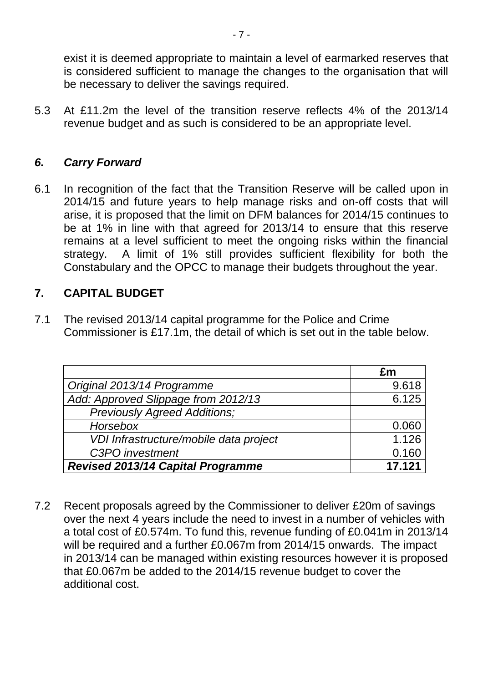exist it is deemed appropriate to maintain a level of earmarked reserves that is considered sufficient to manage the changes to the organisation that will be necessary to deliver the savings required.

5.3 At £11.2m the level of the transition reserve reflects 4% of the 2013/14 revenue budget and as such is considered to be an appropriate level.

### *6. Carry Forward*

6.1 In recognition of the fact that the Transition Reserve will be called upon in 2014/15 and future years to help manage risks and on-off costs that will arise, it is proposed that the limit on DFM balances for 2014/15 continues to be at 1% in line with that agreed for 2013/14 to ensure that this reserve remains at a level sufficient to meet the ongoing risks within the financial strategy. A limit of 1% still provides sufficient flexibility for both the Constabulary and the OPCC to manage their budgets throughout the year.

#### **7. CAPITAL BUDGET**

7.1 The revised 2013/14 capital programme for the Police and Crime Commissioner is £17.1m, the detail of which is set out in the table below.

|                                          | £m     |
|------------------------------------------|--------|
| Original 2013/14 Programme               | 9.618  |
| Add: Approved Slippage from 2012/13      | 6.125  |
| <b>Previously Agreed Additions;</b>      |        |
| Horsebox                                 | 0.060  |
| VDI Infrastructure/mobile data project   | 1.126  |
| C3PO investment                          | 0.160  |
| <b>Revised 2013/14 Capital Programme</b> | 17.121 |

7.2 Recent proposals agreed by the Commissioner to deliver £20m of savings over the next 4 years include the need to invest in a number of vehicles with a total cost of £0.574m. To fund this, revenue funding of £0.041m in 2013/14 will be required and a further £0.067m from 2014/15 onwards. The impact in 2013/14 can be managed within existing resources however it is proposed that £0.067m be added to the 2014/15 revenue budget to cover the additional cost.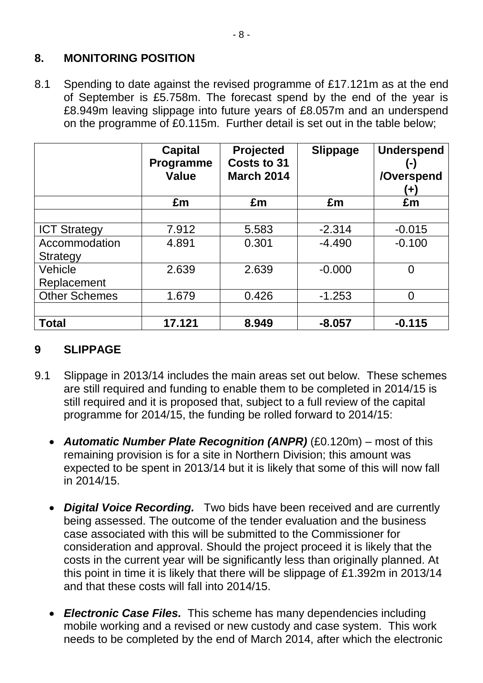## **8. MONITORING POSITION**

8.1 Spending to date against the revised programme of £17.121m as at the end of September is £5.758m. The forecast spend by the end of the year is £8.949m leaving slippage into future years of £8.057m and an underspend on the programme of £0.115m. Further detail is set out in the table below;

|                      | <b>Capital</b><br>Programme<br><b>Value</b> | Projected<br>Costs to 31<br><b>March 2014</b> | <b>Slippage</b> | <b>Underspend</b><br>$(\hbox{-})$<br>/Overspend<br>$\left( \mathbf{+}\right)$ |
|----------------------|---------------------------------------------|-----------------------------------------------|-----------------|-------------------------------------------------------------------------------|
|                      | £m                                          | £m                                            | £m              | £m                                                                            |
|                      |                                             |                                               |                 |                                                                               |
| <b>ICT Strategy</b>  | 7.912                                       | 5.583                                         | $-2.314$        | $-0.015$                                                                      |
| Accommodation        | 4.891                                       | 0.301                                         | $-4.490$        | $-0.100$                                                                      |
| Strategy             |                                             |                                               |                 |                                                                               |
| Vehicle              | 2.639                                       | 2.639                                         | $-0.000$        | $\overline{0}$                                                                |
| Replacement          |                                             |                                               |                 |                                                                               |
| <b>Other Schemes</b> | 1.679                                       | 0.426                                         | $-1.253$        | $\overline{0}$                                                                |
|                      |                                             |                                               |                 |                                                                               |
| <b>Total</b>         | 17.121                                      | 8.949                                         | $-8.057$        | $-0.115$                                                                      |

## **9 SLIPPAGE**

- 9.1 Slippage in 2013/14 includes the main areas set out below. These schemes are still required and funding to enable them to be completed in 2014/15 is still required and it is proposed that, subject to a full review of the capital programme for 2014/15, the funding be rolled forward to 2014/15:
	- *Automatic Number Plate Recognition (ANPR)* (£0.120m) most of this remaining provision is for a site in Northern Division; this amount was expected to be spent in 2013/14 but it is likely that some of this will now fall in 2014/15.
	- *Digital Voice Recording.* Two bids have been received and are currently being assessed. The outcome of the tender evaluation and the business case associated with this will be submitted to the Commissioner for consideration and approval. Should the project proceed it is likely that the costs in the current year will be significantly less than originally planned. At this point in time it is likely that there will be slippage of £1.392m in 2013/14 and that these costs will fall into 2014/15.
	- *Electronic Case Files.* This scheme has many dependencies including mobile working and a revised or new custody and case system. This work needs to be completed by the end of March 2014, after which the electronic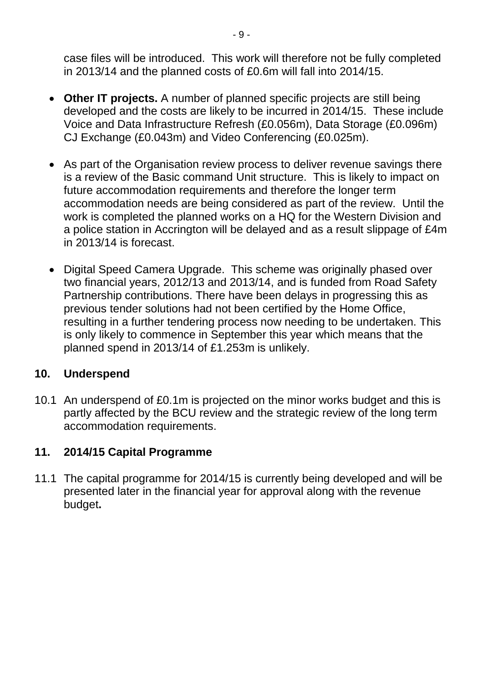case files will be introduced. This work will therefore not be fully completed in 2013/14 and the planned costs of £0.6m will fall into 2014/15.

- **Other IT projects.** A number of planned specific projects are still being developed and the costs are likely to be incurred in 2014/15. These include Voice and Data Infrastructure Refresh (£0.056m), Data Storage (£0.096m) CJ Exchange (£0.043m) and Video Conferencing (£0.025m).
- As part of the Organisation review process to deliver revenue savings there is a review of the Basic command Unit structure. This is likely to impact on future accommodation requirements and therefore the longer term accommodation needs are being considered as part of the review. Until the work is completed the planned works on a HQ for the Western Division and a police station in Accrington will be delayed and as a result slippage of £4m in 2013/14 is forecast.
- Digital Speed Camera Upgrade. This scheme was originally phased over two financial years, 2012/13 and 2013/14, and is funded from Road Safety Partnership contributions. There have been delays in progressing this as previous tender solutions had not been certified by the Home Office, resulting in a further tendering process now needing to be undertaken. This is only likely to commence in September this year which means that the planned spend in 2013/14 of £1.253m is unlikely.

## **10. Underspend**

10.1 An underspend of £0.1m is projected on the minor works budget and this is partly affected by the BCU review and the strategic review of the long term accommodation requirements.

## **11. 2014/15 Capital Programme**

11.1 The capital programme for 2014/15 is currently being developed and will be presented later in the financial year for approval along with the revenue budget**.**